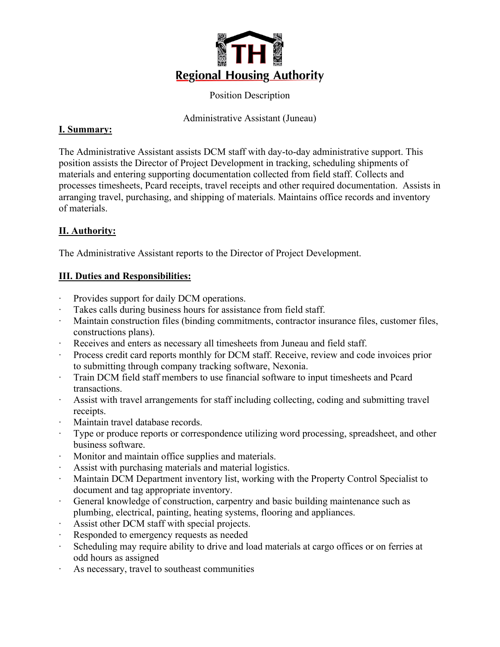

Position Description

Administrative Assistant (Juneau)

### **I. Summary:**

The Administrative Assistant assists DCM staff with day-to-day administrative support. This position assists the Director of Project Development in tracking, scheduling shipments of materials and entering supporting documentation collected from field staff. Collects and processes timesheets, Pcard receipts, travel receipts and other required documentation. Assists in arranging travel, purchasing, and shipping of materials. Maintains office records and inventory of materials.

# **II. Authority:**

The Administrative Assistant reports to the Director of Project Development.

## **III. Duties and Responsibilities:**

- ∙ Provides support for daily DCM operations.
- Takes calls during business hours for assistance from field staff.
- ∙ Maintain construction files (binding commitments, contractor insurance files, customer files, constructions plans).
- Receives and enters as necessary all timesheets from Juneau and field staff.
- ∙ Process credit card reports monthly for DCM staff. Receive, review and code invoices prior to submitting through company tracking software, Nexonia.
- ∙ Train DCM field staff members to use financial software to input timesheets and Pcard transactions.
- ∙ Assist with travel arrangements for staff including collecting, coding and submitting travel receipts.
- ∙ Maintain travel database records.
- Type or produce reports or correspondence utilizing word processing, spreadsheet, and other business software.
- ∙ Monitor and maintain office supplies and materials.
- ∙ Assist with purchasing materials and material logistics.
- ∙ Maintain DCM Department inventory list, working with the Property Control Specialist to document and tag appropriate inventory.
- ∙ General knowledge of construction, carpentry and basic building maintenance such as plumbing, electrical, painting, heating systems, flooring and appliances.
- ∙ Assist other DCM staff with special projects.
- ∙ Responded to emergency requests as needed
- Scheduling may require ability to drive and load materials at cargo offices or on ferries at odd hours as assigned
- ∙ As necessary, travel to southeast communities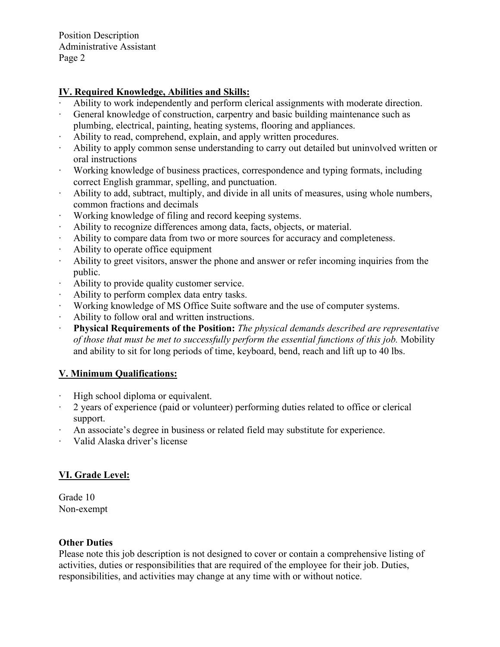Position Description Administrative Assistant Page 2

### **IV. Required Knowledge, Abilities and Skills:**

- ∙ Ability to work independently and perform clerical assignments with moderate direction.
- ∙ General knowledge of construction, carpentry and basic building maintenance such as plumbing, electrical, painting, heating systems, flooring and appliances.
- ∙ Ability to read, comprehend, explain, and apply written procedures.
- ∙ Ability to apply common sense understanding to carry out detailed but uninvolved written or oral instructions
- ∙ Working knowledge of business practices, correspondence and typing formats, including correct English grammar, spelling, and punctuation.
- ∙ Ability to add, subtract, multiply, and divide in all units of measures, using whole numbers, common fractions and decimals
- ∙ Working knowledge of filing and record keeping systems.
- ∙ Ability to recognize differences among data, facts, objects, or material.
- ∙ Ability to compare data from two or more sources for accuracy and completeness.
- ∙ Ability to operate office equipment
- ∙ Ability to greet visitors, answer the phone and answer or refer incoming inquiries from the public.
- ∙ Ability to provide quality customer service.
- ∙ Ability to perform complex data entry tasks.
- ∙ Working knowledge of MS Office Suite software and the use of computer systems.
- ∙ Ability to follow oral and written instructions.
- ∙ **Physical Requirements of the Position:** *The physical demands described are representative of those that must be met to successfully perform the essential functions of this job.* Mobility and ability to sit for long periods of time, keyboard, bend, reach and lift up to 40 lbs.

#### **V. Minimum Qualifications:**

- ∙ High school diploma or equivalent.
- ∙ 2 years of experience (paid or volunteer) performing duties related to office or clerical support.
- ∙ An associate's degree in business or related field may substitute for experience.
- ∙ Valid Alaska driver's license

### **VI. Grade Level:**

Grade 10 Non-exempt

#### **Other Duties**

Please note this job description is not designed to cover or contain a comprehensive listing of activities, duties or responsibilities that are required of the employee for their job. Duties, responsibilities, and activities may change at any time with or without notice.